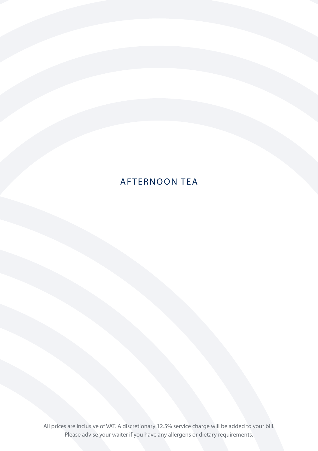# AFTERNOON TEA

All prices are inclusive of VAT. A discretionary 12.5% service charge will be added to your bill. Please advise your waiter if you have any allergens or dietary requirements.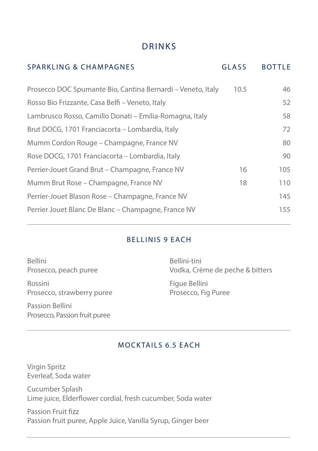# DRINKS

| <b>SPARKLING &amp; CHAMPAGNES</b>                           | <b>GLASS</b> | <b>BOTTLE</b> |
|-------------------------------------------------------------|--------------|---------------|
| Prosecco DOC Spumante Bio, Cantina Bernardi - Veneto, Italy | 10.5         | 46            |
| Rosso Bio Frizzante, Casa Belfi – Veneto, Italy             |              | 52            |
| Lambrusco Rosso, Camillo Donati – Emilia-Romagna, Italy     |              | 58            |
| Brut DOCG, 1701 Franciacorta – Lombardia, Italy             |              | 72            |
| Mumm Cordon Rouge - Champagne, France NV                    |              | 80            |
| Rose DOCG, 1701 Franciacorta – Lombardia, Italy             |              | 90            |
| Perrier-Jouet Grand Brut - Champagne, France NV             | 16           | 105           |
| Mumm Brut Rose – Champagne, France NV                       | 18           | 110           |
| Perrier-Jouet Blason Rose - Champagne, France NV            |              | 145           |
| Perrier Jouet Blanc De Blanc – Champagne, France NV         |              | 155           |
|                                                             |              |               |

#### BELLINIS 9 EACH

Bellini Prosecco, peach puree

Rossini Prosecco, strawberry puree

Passion Bellini Prosecco, Passion fruit puree

Bellini-tini Vodka, Crème de peche & bitters

Figue Bellini Prosecco, Fig Puree

#### MOCKTAILS 6.5 EACH

Virgin Spritz Everleaf, Soda water

Cucumber Splash Lime juice, Elderflower cordial, fresh cucumber, Soda water

Passion Fruit fizz Passion fruit puree, Apple Juice, Vanilla Syrup, Ginger beer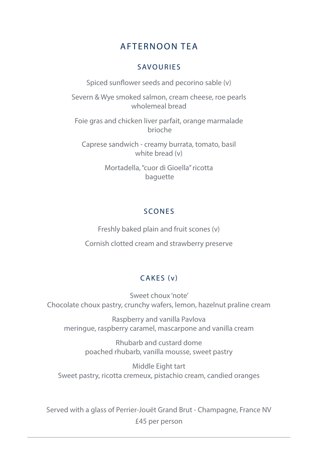# AFTERNOON TEA

# SAVOURIES

Spiced sunflower seeds and pecorino sable (v)

Severn & Wye smoked salmon, cream cheese, roe pearls wholemeal bread

Foie gras and chicken liver parfait, orange marmalade brioche

Caprese sandwich - creamy burrata, tomato, basil white bread (v)

> Mortadella, "cuor di Gioella" ricotta baguette

# SCONES

Freshly baked plain and fruit scones (v) Cornish clotted cream and strawberry preserve

# CAKES (v)

Sweet choux 'note' Chocolate choux pastry, crunchy wafers, lemon, hazelnut praline cream

Raspberry and vanilla Pavlova meringue, raspberry caramel, mascarpone and vanilla cream

> Rhubarb and custard dome poached rhubarb, vanilla mousse, sweet pastry

Middle Eight tart Sweet pastry, ricotta cremeux, pistachio cream, candied oranges

Served with a glass of Perrier-Jouët Grand Brut - Champagne, France NV £45 per person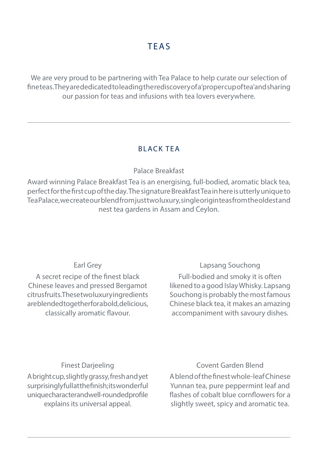We are very proud to be partnering with Tea Palace to help curate our selection of fine teas. They are dedicated to leading the rediscovery of a 'proper cup of tea' and sharing our passion for teas and infusions with tea lovers everywhere.

# BLACK TEA

## Palace Breakfast

Award winning Palace Breakfast Tea is an energising, full-bodied, aromatic black tea, perfect for the first cup of the day. The signature Breakfast Tea in here is utterly unique to Tea Palace, we create our blend from just two luxury, single origin teas from the oldest and nest tea gardens in Assam and Ceylon.

## Earl Grey

A secret recipe of the finest black Chinese leaves and pressed Bergamot citrus fruits. The set wo luxury in gredients are blended together for a bold, delicious, classically aromatic flavour.

# Lapsang Souchong

Full-bodied and smoky it is often likened to a good Islay Whisky. Lapsang Souchong is probably the most famous Chinese black tea, it makes an amazing accompaniment with savoury dishes.

## Finest Darjeeling

A bright cup, slightly grassy, fresh and yet surprisingly full at the finish; its wonderful unique character and well-rounded profile explains its universal appeal.

## Covent Garden Blend

A blend of the finest whole-leaf Chinese Yunnan tea, pure peppermint leaf and flashes of cobalt blue cornflowers for a slightly sweet, spicy and aromatic tea.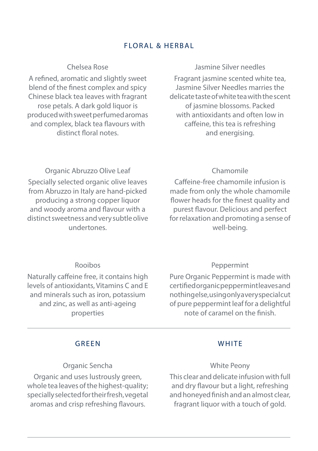#### FLORAL & HERBAL

#### Chelsea Rose

A refined, aromatic and slightly sweet blend of the finest complex and spicy Chinese black tea leaves with fragrant rose petals. A dark gold liquor is produced with sweet perfumed aromas and complex, black tea flavours with distinct floral notes.

#### Jasmine Silver needles

Fragrant jasmine scented white tea, Jasmine Silver Needles marries the delicate taste of white tea with the scent of jasmine blossoms. Packed with antioxidants and often low in caffeine, this tea is refreshing and energising.

# Organic Abruzzo Olive Leaf

Specially selected organic olive leaves from Abruzzo in Italy are hand-picked producing a strong copper liquor and woody aroma and flavour with a distinct sweetness and very subtle olive undertones.

#### Caffeine-free chamomile infusion is made from only the whole chamomile flower heads for the finest quality and purest flavour. Delicious and perfect for relaxation and promoting a sense of well-being.

Chamomile

#### Rooibos

Naturally caffeine free, it contains high levels of antioxidants, Vitamins C and E and minerals such as iron, potassium and zinc, as well as anti-ageing properties

#### Peppermint

Pure Organic Peppermint is made with certified organic peppermint leaves and nothing else, using only a very special cut of pure peppermint leaf for a delightful note of caramel on the finish.

#### GREEN

#### Organic Sencha

Organic and uses lustrously green, whole tea leaves of the highest-quality; specially selected for their fresh, vegetal aromas and crisp refreshing flavours.

#### **WHITE**

#### White Peony

This clear and delicate infusion with full and dry flavour but a light, refreshing and honeyed finish and an almost clear, fragrant liquor with a touch of gold.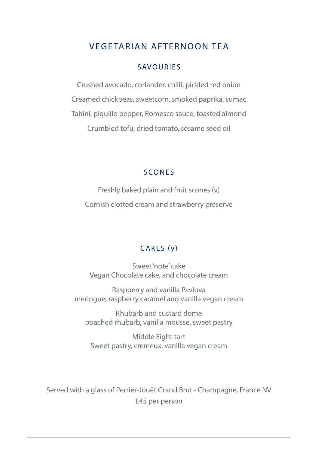# VEGETARIAN AFTERNOON TEA

#### SAVOURIES

Crushed avocado, coriander, chilli, pickled red onion Creamed chickpeas, sweetcorn, smoked paprika, sumac Tahini, piquillo pepper, Romesco sauce, toasted almond Crumbled tofu, dried tomato, sesame seed oil

#### SCONES

Freshly baked plain and fruit scones (v) Cornish clotted cream and strawberry preserve

#### CAKES (v)

Sweet 'note' cake Vegan Chocolate cake, and chocolate cream

Raspberry and vanilla Pavlova meringue, raspberry caramel and vanilla vegan cream

Rhubarb and custard dome poached rhubarb, vanilla mousse, sweet pastry

Middle Eight tart Sweet pastry, cremeux, vanilla vegan cream

Served with a glass of Perrier-Jouët Grand Brut - Champagne, France NV £45 per person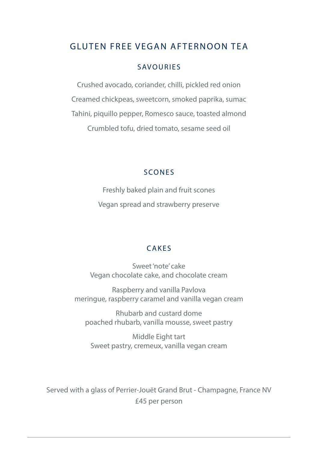# GLUTEN FREE VEGAN AFTERNOON TEA

#### SAVOURIES

Crushed avocado, coriander, chilli, pickled red onion Creamed chickpeas, sweetcorn, smoked paprika, sumac Tahini, piquillo pepper, Romesco sauce, toasted almond Crumbled tofu, dried tomato, sesame seed oil

#### SCONES

Freshly baked plain and fruit scones Vegan spread and strawberry preserve

#### CAKES

Sweet 'note' cake Vegan chocolate cake, and chocolate cream

Raspberry and vanilla Pavlova meringue, raspberry caramel and vanilla vegan cream

Rhubarb and custard dome poached rhubarb, vanilla mousse, sweet pastry

Middle Eight tart Sweet pastry, cremeux, vanilla vegan cream

Served with a glass of Perrier-Jouët Grand Brut - Champagne, France NV £45 per person